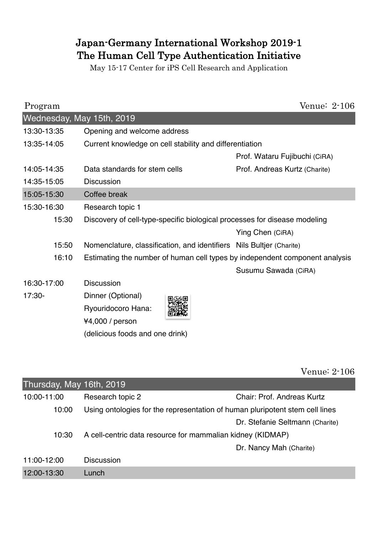## Japan-Germany International Workshop 2019-1 The Human Cell Type Authentication Initiative

May 15-17 Center for iPS Cell Research and Application

| Program                   |                                                                             | Venue: 2-106                  |  |  |  |
|---------------------------|-----------------------------------------------------------------------------|-------------------------------|--|--|--|
| Wednesday, May 15th, 2019 |                                                                             |                               |  |  |  |
| 13:30-13:35               | Opening and welcome address                                                 |                               |  |  |  |
| 13:35-14:05               | Current knowledge on cell stability and differentiation                     |                               |  |  |  |
|                           |                                                                             | Prof. Wataru Fujibuchi (CiRA) |  |  |  |
| 14:05-14:35               | Data standards for stem cells                                               | Prof. Andreas Kurtz (Charite) |  |  |  |
| 14:35-15:05               | <b>Discussion</b>                                                           |                               |  |  |  |
| 15:05-15:30               | Coffee break                                                                |                               |  |  |  |
| 15:30-16:30               | Research topic 1                                                            |                               |  |  |  |
| 15:30                     | Discovery of cell-type-specific biological processes for disease modeling   |                               |  |  |  |
|                           |                                                                             | Ying Chen (CiRA)              |  |  |  |
| 15:50                     | Nomenclature, classification, and identifiers Nils Bultjer (Charite)        |                               |  |  |  |
| 16:10                     | Estimating the number of human cell types by independent component analysis |                               |  |  |  |
|                           |                                                                             | Susumu Sawada (CiRA)          |  |  |  |
| 16:30-17:00               | <b>Discussion</b>                                                           |                               |  |  |  |
| 17:30-                    | Dinner (Optional)                                                           |                               |  |  |  |
|                           | Ryouridocoro Hana:                                                          |                               |  |  |  |
|                           | ¥4,000 / person                                                             |                               |  |  |  |
|                           | (delicious foods and one drink)                                             |                               |  |  |  |

Venue: 2-106

| Thursday, May 16th, 2019 |                                                                              |                                   |
|--------------------------|------------------------------------------------------------------------------|-----------------------------------|
| 10:00-11:00              | Research topic 2                                                             | <b>Chair: Prof. Andreas Kurtz</b> |
| 10:00                    | Using ontologies for the representation of human pluripotent stem cell lines |                                   |
|                          |                                                                              | Dr. Stefanie Seltmann (Charite)   |
| 10:30                    | A cell-centric data resource for mammalian kidney (KIDMAP)                   |                                   |
|                          |                                                                              | Dr. Nancy Mah (Charite)           |
| 11:00-12:00              | <b>Discussion</b>                                                            |                                   |
| 12:00-13:30              | Lunch                                                                        |                                   |